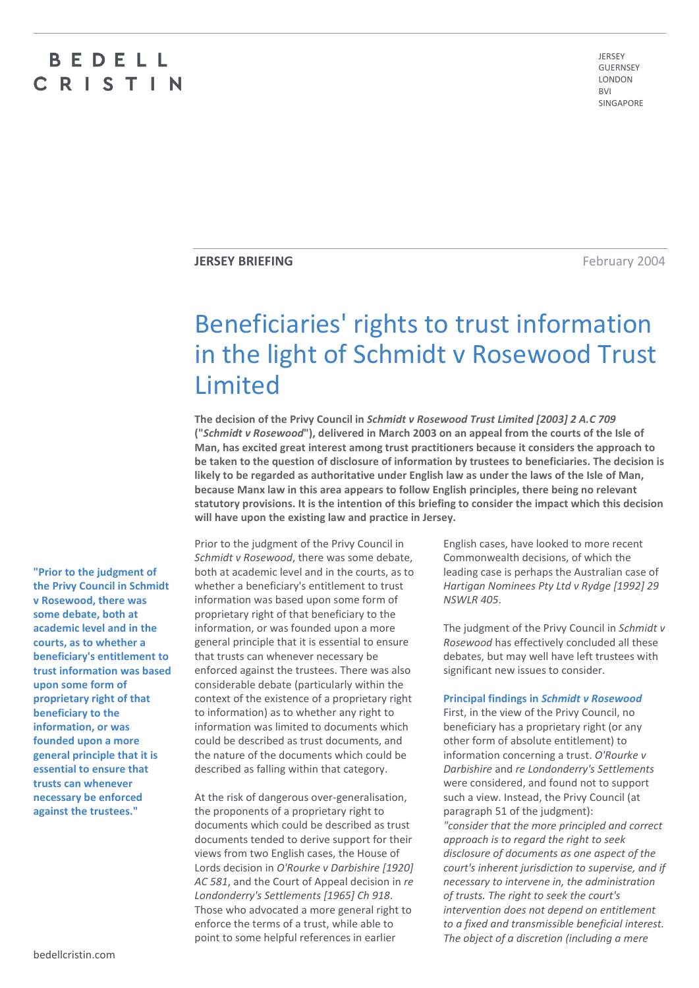# BEDELL CRISTIN

JERSEY GUERNSEY LONDON  $DVI$ SINGAPORE

**JERSEY BRIEFING February 2004** 

# Beneficiaries' rights to trust information in the light of Schmidt v Rosewood Trust Limited

**The decision of the Privy Council in** *Schmidt v Rosewood Trust Limited [2003] 2 A.C 709* **("***Schmidt v Rosewood***"), delivered in March 2003 on an appeal from the courts of the Isle of Man, has excited great interest among trust practitioners because it considers the approach to be taken to the question of disclosure of information by trustees to beneficiaries. The decision is likely to be regarded as authoritative under English law as under the laws of the Isle of Man, because Manx law in this area appears to follow English principles, there being no relevant statutory provisions. It is the intention of this briefing to consider the impact which this decision will have upon the existing law and practice in Jersey.**

**"Prior to the judgment of the Privy Council in Schmidt v Rosewood, there was some debate, both at academic level and in the courts, as to whether a beneficiary's entitlement to trust information was based upon some form of proprietary right of that beneficiary to the information, or was founded upon a more general principle that it is essential to ensure that trusts can whenever necessary be enforced against the trustees."**

Prior to the judgment of the Privy Council in *Schmidt v Rosewood*, there was some debate, both at academic level and in the courts, as to whether a beneficiary's entitlement to trust information was based upon some form of proprietary right of that beneficiary to the information, or was founded upon a more general principle that it is essential to ensure that trusts can whenever necessary be enforced against the trustees. There was also considerable debate (particularly within the context of the existence of a proprietary right to information) as to whether any right to information was limited to documents which could be described as trust documents, and the nature of the documents which could be described as falling within that category.

At the risk of dangerous over-generalisation, the proponents of a proprietary right to documents which could be described as trust documents tended to derive support for their views from two English cases, the House of Lords decision in *O'Rourke v Darbishire [1920] AC 581*, and the Court of Appeal decision in *re Londonderry's Settlements [1965] Ch 918*. Those who advocated a more general right to enforce the terms of a trust, while able to point to some helpful references in earlier

English cases, have looked to more recent Commonwealth decisions, of which the leading case is perhaps the Australian case of *Hartigan Nominees Pty Ltd v Rydge [1992] 29 NSWLR 405*.

The judgment of the Privy Council in *Schmidt v Rosewood* has effectively concluded all these debates, but may well have left trustees with significant new issues to consider.

# **Principal findings in** *Schmidt v Rosewood*

First, in the view of the Privy Council, no beneficiary has a proprietary right (or any other form of absolute entitlement) to information concerning a trust. *O'Rourke v Darbishire* and *re Londonderry's Settlements* were considered, and found not to support such a view. Instead, the Privy Council (at paragraph 51 of the judgment): *"consider that the more principled and correct approach is to regard the right to seek disclosure of documents as one aspect of the court's inherent jurisdiction to supervise, and if necessary to intervene in, the administration of trusts. The right to seek the court's intervention does not depend on entitlement to a fixed and transmissible beneficial interest. The object of a discretion (including a mere*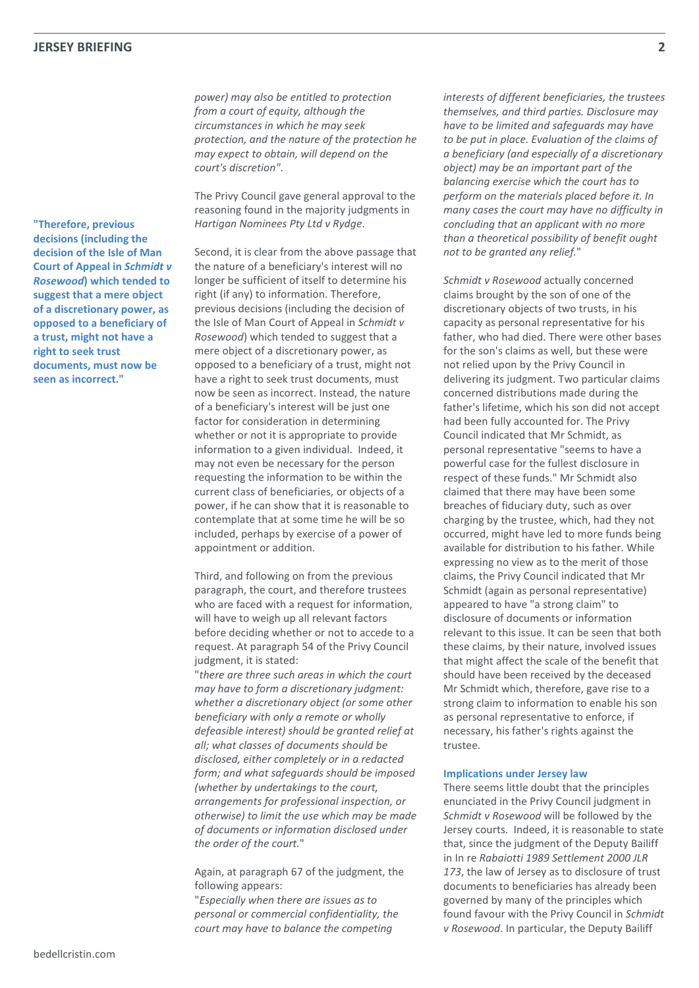*power) may also be entitled to protection from a court of equity, although the circumstances in which he may seek protection, and the nature of the protection he may expect to obtain, will depend on the court's discretion"*.

The Privy Council gave general approval to the reasoning found in the majority judgments in *Hartigan Nominees Pty Ltd v Rydge*.

Second, it is clear from the above passage that the nature of a beneficiary's interest will no longer be sufficient of itself to determine his right (if any) to information. Therefore, previous decisions (including the decision of the Isle of Man Court of Appeal in *Schmidt v Rosewood*) which tended to suggest that a mere object of a discretionary power, as opposed to a beneficiary of a trust, might not have a right to seek trust documents, must now be seen as incorrect. Instead, the nature of a beneficiary's interest will be just one factor for consideration in determining whether or not it is appropriate to provide information to a given individual. Indeed, it may not even be necessary for the person requesting the information to be within the current class of beneficiaries, or objects of a power, if he can show that it is reasonable to contemplate that at some time he will be so included, perhaps by exercise of a power of appointment or addition.

Third, and following on from the previous paragraph, the court, and therefore trustees who are faced with a request for information, will have to weigh up all relevant factors before deciding whether or not to accede to a request. At paragraph 54 of the Privy Council judgment, it is stated:

"*there are three such areas in which the court may have to form a discretionary judgment: whether a discretionary object (or some other beneficiary with only a remote or wholly defeasible interest) should be granted relief at all; what classes of documents should be disclosed, either completely or in a redacted form; and what safeguards should be imposed (whether by undertakings to the court, arrangements for professional inspection, or otherwise) to limit the use which may be made of documents or information disclosed under the order of the court.*"

Again, at paragraph 67 of the judgment, the following appears:

"*Especially when there are issues as to personal or commercial confidentiality, the court may have to balance the competing* 

*interests of different beneficiaries, the trustees themselves, and third parties. Disclosure may have to be limited and safeguards may have to be put in place. Evaluation of the claims of a beneficiary (and especially of a discretionary object) may be an important part of the balancing exercise which the court has to perform on the materials placed before it. In many cases the court may have no difficulty in concluding that an applicant with no more than a theoretical possibility of benefit ought not to be granted any relief.*"

*Schmidt v Rosewood* actually concerned claims brought by the son of one of the discretionary objects of two trusts, in his capacity as personal representative for his father, who had died. There were other bases for the son's claims as well, but these were not relied upon by the Privy Council in delivering its judgment. Two particular claims concerned distributions made during the father's lifetime, which his son did not accept had been fully accounted for. The Privy Council indicated that Mr Schmidt, as personal representative "seems to have a powerful case for the fullest disclosure in respect of these funds." Mr Schmidt also claimed that there may have been some breaches of fiduciary duty, such as over charging by the trustee, which, had they not occurred, might have led to more funds being available for distribution to his father. While expressing no view as to the merit of those claims, the Privy Council indicated that Mr Schmidt (again as personal representative) appeared to have "a strong claim" to disclosure of documents or information relevant to this issue. It can be seen that both these claims, by their nature, involved issues that might affect the scale of the benefit that should have been received by the deceased Mr Schmidt which, therefore, gave rise to a strong claim to information to enable his son as personal representative to enforce, if necessary, his father's rights against the trustee.

#### **Implications under Jersey law**

There seems little doubt that the principles enunciated in the Privy Council judgment in *Schmidt v Rosewood* will be followed by the Jersey courts. Indeed, it is reasonable to state that, since the judgment of the Deputy Bailiff in In re *Rabaiotti 1989 Settlement 2000 JLR 173*, the law of Jersey as to disclosure of trust documents to beneficiaries has already been governed by many of the principles which found favour with the Privy Council in *Schmidt v Rosewood*. In particular, the Deputy Bailiff

**"Therefore, previous decisions (including the decision of the Isle of Man Court of Appeal in** *Schmidt v Rosewood***) which tended to suggest that a mere object of a discretionary power, as opposed to a beneficiary of a trust, might not have a right to seek trust documents, must now be seen as incorrect."**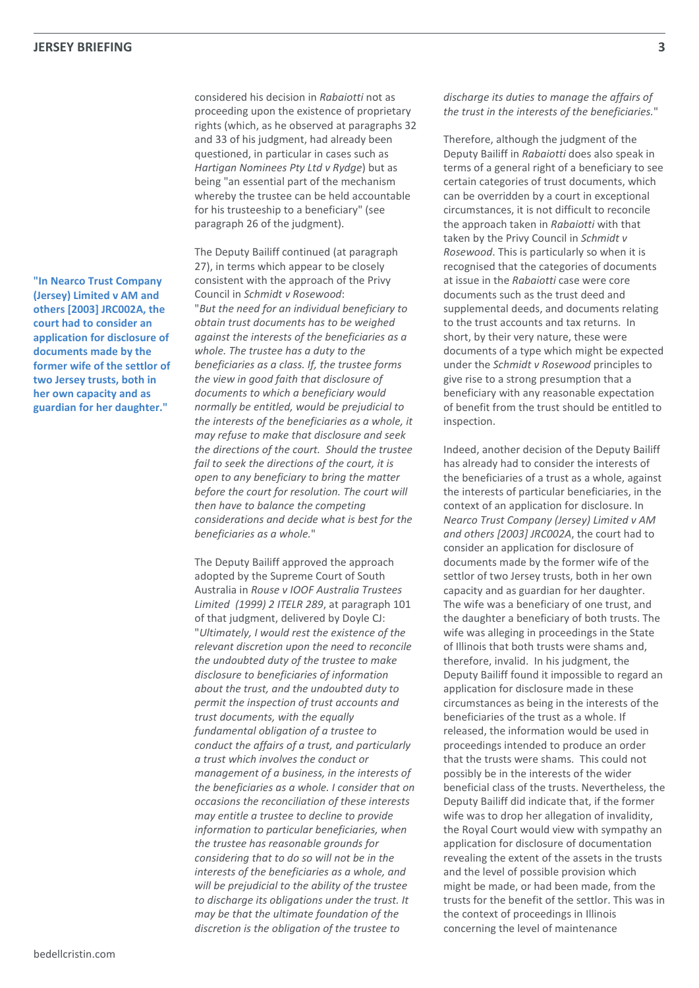**"In Nearco Trust Company (Jersey) Limited v AM and others [2003] JRC002A, the court had to consider an application for disclosure of documents made by the former wife of the settlor of two Jersey trusts, both in her own capacity and as guardian for her daughter."**

considered his decision in *Rabaiotti* not as proceeding upon the existence of proprietary rights (which, as he observed at paragraphs 32 and 33 of his judgment, had already been questioned, in particular in cases such as *Hartigan Nominees Pty Ltd v Rydge*) but as being "an essential part of the mechanism whereby the trustee can be held accountable for his trusteeship to a beneficiary" (see paragraph 26 of the judgment).

The Deputy Bailiff continued (at paragraph 27), in terms which appear to be closely consistent with the approach of the Privy Council in *Schmidt v Rosewood*: "*But the need for an individual beneficiary to obtain trust documents has to be weighed against the interests of the beneficiaries as a whole. The trustee has a duty to the beneficiaries as a class. If, the trustee forms the view in good faith that disclosure of documents to which a beneficiary would normally be entitled, would be prejudicial to the interests of the beneficiaries as a whole, it may refuse to make that disclosure and seek the directions of the court. Should the trustee fail to seek the directions of the court, it is open to any beneficiary to bring the matter before the court for resolution. The court will then have to balance the competing considerations and decide what is best for the beneficiaries as a whole.*"

The Deputy Bailiff approved the approach adopted by the Supreme Court of South Australia in *Rouse v IOOF Australia Trustees Limited (1999) 2 ITELR 289*, at paragraph 101 of that judgment, delivered by Doyle CJ: "*Ultimately, I would rest the existence of the relevant discretion upon the need to reconcile the undoubted duty of the trustee to make disclosure to beneficiaries of information about the trust, and the undoubted duty to permit the inspection of trust accounts and trust documents, with the equally fundamental obligation of a trustee to conduct the affairs of a trust, and particularly a trust which involves the conduct or management of a business, in the interests of the beneficiaries as a whole. I consider that on occasions the reconciliation of these interests may entitle a trustee to decline to provide information to particular beneficiaries, when the trustee has reasonable grounds for considering that to do so will not be in the interests of the beneficiaries as a whole, and will be prejudicial to the ability of the trustee to discharge its obligations under the trust. It may be that the ultimate foundation of the discretion is the obligation of the trustee to* 

*discharge its duties to manage the affairs of the trust in the interests of the beneficiaries.*"

Therefore, although the judgment of the Deputy Bailiff in *Rabaiotti* does also speak in terms of a general right of a beneficiary to see certain categories of trust documents, which can be overridden by a court in exceptional circumstances, it is not difficult to reconcile the approach taken in *Rabaiotti* with that taken by the Privy Council in *Schmidt v Rosewood*. This is particularly so when it is recognised that the categories of documents at issue in the *Rabaiotti* case were core documents such as the trust deed and supplemental deeds, and documents relating to the trust accounts and tax returns. In short, by their very nature, these were documents of a type which might be expected under the *Schmidt v Rosewood* principles to give rise to a strong presumption that a beneficiary with any reasonable expectation of benefit from the trust should be entitled to inspection.

Indeed, another decision of the Deputy Bailiff has already had to consider the interests of the beneficiaries of a trust as a whole, against the interests of particular beneficiaries, in the context of an application for disclosure. In *Nearco Trust Company (Jersey) Limited v AM and others [2003] JRC002A*, the court had to consider an application for disclosure of documents made by the former wife of the settlor of two Jersey trusts, both in her own capacity and as guardian for her daughter. The wife was a beneficiary of one trust, and the daughter a beneficiary of both trusts. The wife was alleging in proceedings in the State of Illinois that both trusts were shams and, therefore, invalid. In his judgment, the Deputy Bailiff found it impossible to regard an application for disclosure made in these circumstances as being in the interests of the beneficiaries of the trust as a whole. If released, the information would be used in proceedings intended to produce an order that the trusts were shams. This could not possibly be in the interests of the wider beneficial class of the trusts. Nevertheless, the Deputy Bailiff did indicate that, if the former wife was to drop her allegation of invalidity, the Royal Court would view with sympathy an application for disclosure of documentation revealing the extent of the assets in the trusts and the level of possible provision which might be made, or had been made, from the trusts for the benefit of the settlor. This was in the context of proceedings in Illinois concerning the level of maintenance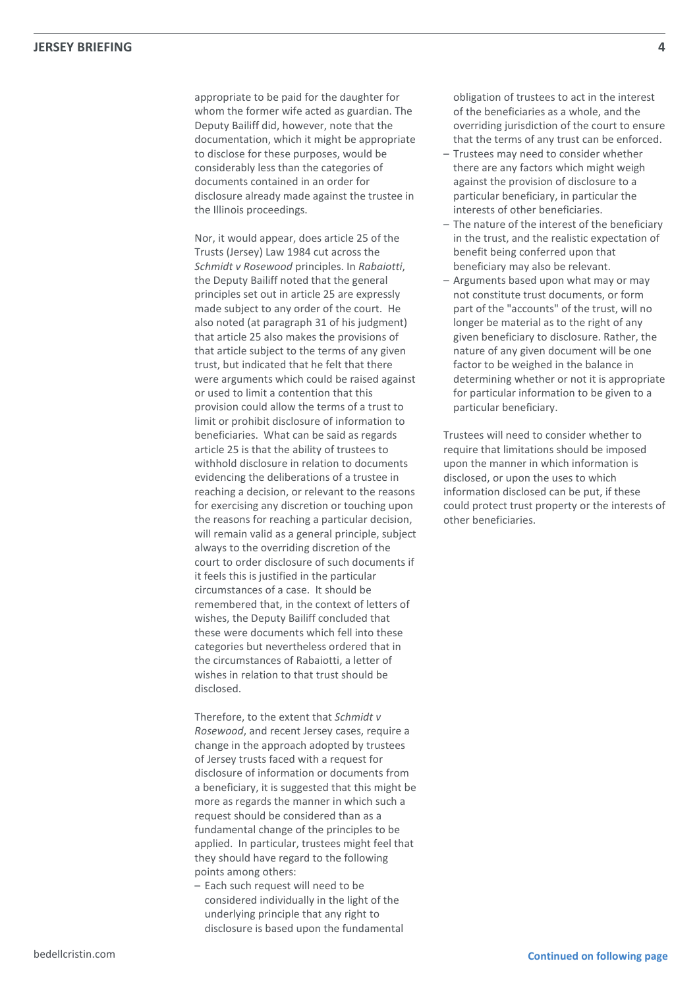appropriate to be paid for the daughter for whom the former wife acted as guardian. The Deputy Bailiff did, however, note that the documentation, which it might be appropriate to disclose for these purposes, would be considerably less than the categories of documents contained in an order for disclosure already made against the trustee in the Illinois proceedings.

Nor, it would appear, does article 25 of the Trusts (Jersey) Law 1984 cut across the *Schmidt v Rosewood* principles. In *Rabaiotti*, the Deputy Bailiff noted that the general principles set out in article 25 are expressly made subject to any order of the court. He also noted (at paragraph 31 of his judgment) that article 25 also makes the provisions of that article subject to the terms of any given trust, but indicated that he felt that there were arguments which could be raised against or used to limit a contention that this provision could allow the terms of a trust to limit or prohibit disclosure of information to beneficiaries. What can be said as regards article 25 is that the ability of trustees to withhold disclosure in relation to documents evidencing the deliberations of a trustee in reaching a decision, or relevant to the reasons for exercising any discretion or touching upon the reasons for reaching a particular decision, will remain valid as a general principle, subject always to the overriding discretion of the court to order disclosure of such documents if it feels this is justified in the particular circumstances of a case. It should be remembered that, in the context of letters of wishes, the Deputy Bailiff concluded that these were documents which fell into these categories but nevertheless ordered that in the circumstances of Rabaiotti, a letter of wishes in relation to that trust should be disclosed.

Therefore, to the extent that *Schmidt v Rosewood*, and recent Jersey cases, require a change in the approach adopted by trustees of Jersey trusts faced with a request for disclosure of information or documents from a beneficiary, it is suggested that this might be more as regards the manner in which such a request should be considered than as a fundamental change of the principles to be applied. In particular, trustees might feel that they should have regard to the following points among others:

– Each such request will need to be considered individually in the light of the underlying principle that any right to disclosure is based upon the fundamental obligation of trustees to act in the interest of the beneficiaries as a whole, and the overriding jurisdiction of the court to ensure that the terms of any trust can be enforced.

- Trustees may need to consider whether there are any factors which might weigh against the provision of disclosure to a particular beneficiary, in particular the interests of other beneficiaries.
- The nature of the interest of the beneficiary in the trust, and the realistic expectation of benefit being conferred upon that beneficiary may also be relevant.
- Arguments based upon what may or may not constitute trust documents, or form part of the "accounts" of the trust, will no longer be material as to the right of any given beneficiary to disclosure. Rather, the nature of any given document will be one factor to be weighed in the balance in determining whether or not it is appropriate for particular information to be given to a particular beneficiary.

Trustees will need to consider whether to require that limitations should be imposed upon the manner in which information is disclosed, or upon the uses to which information disclosed can be put, if these could protect trust property or the interests of other beneficiaries.